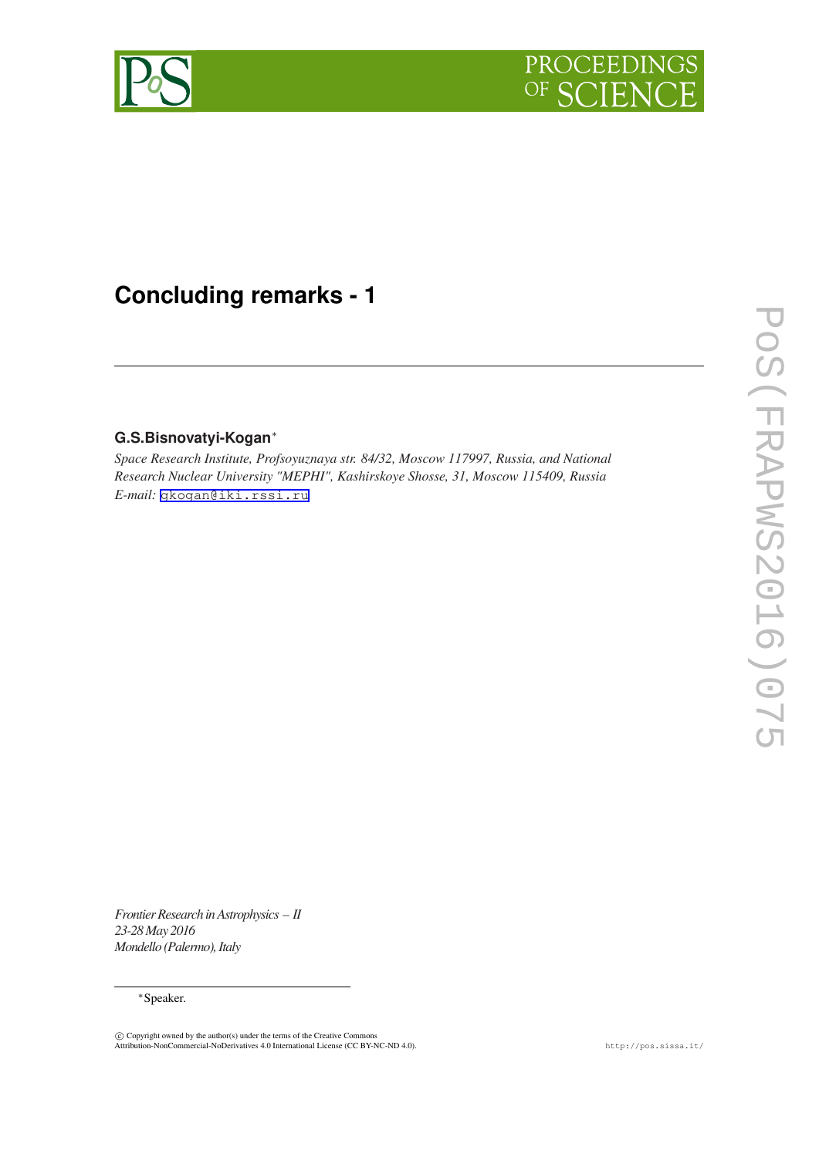



## **Concluding remarks - 1**

## **G.S.Bisnovatyi-Kogan**∗

*Space Research Institute, Profsoyuznaya str. 84/32, Moscow 117997, Russia, and National Research Nuclear University "MEPHI", Kashirskoye Shosse, 31, Moscow 115409, Russia E-mail:* [gkogan@iki.rssi.ru](mailto:gkogan@iki.rssi.ru)

*Frontier Research in Astrophysics – II 23-28 May 2016 Mondello (Palermo), Italy*

## *∗*Speaker.

 $\copyright$  Copyright owned by the author(s) under the terms of the Creative Commons<br>Attribution-NonCommercial-NoDerivatives 4.0 International License (CC BY-NC-ND 4.0).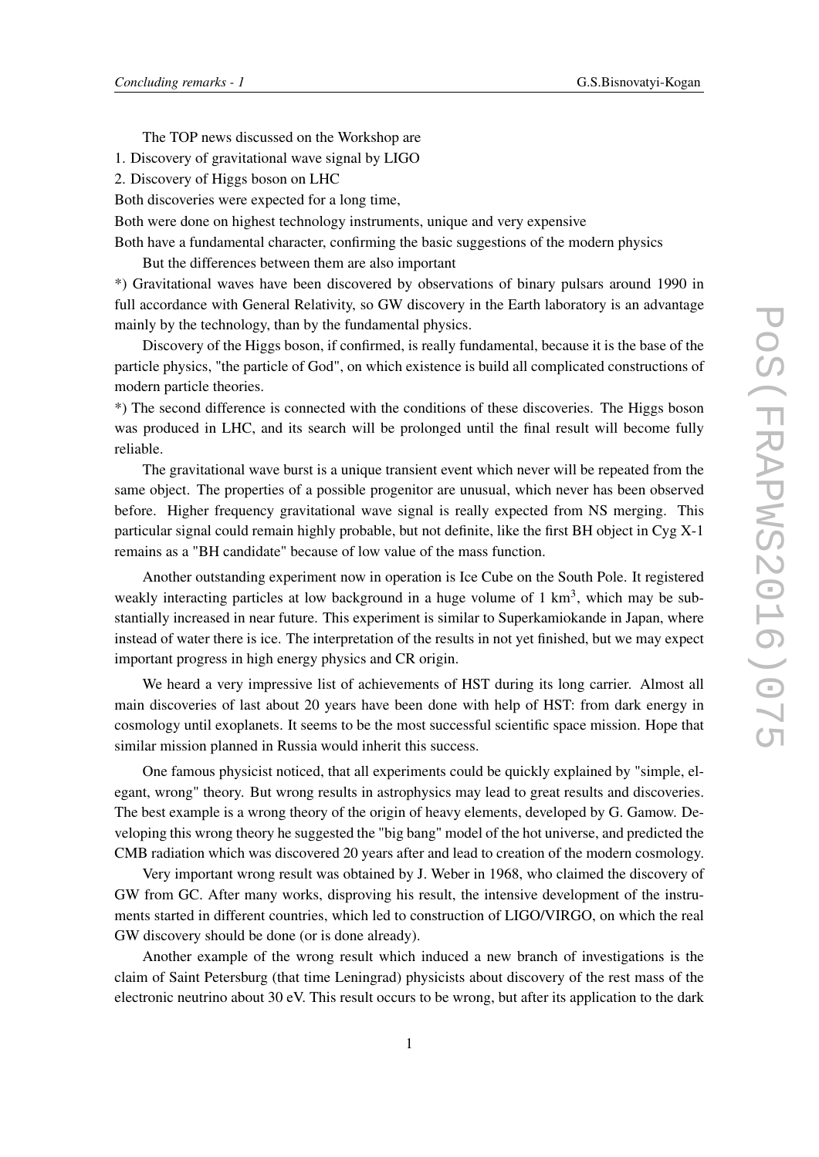The TOP news discussed on the Workshop are

1. Discovery of gravitational wave signal by LIGO

2. Discovery of Higgs boson on LHC

Both discoveries were expected for a long time,

Both were done on highest technology instruments, unique and very expensive

Both have a fundamental character, confirming the basic suggestions of the modern physics

But the differences between them are also important

\*) Gravitational waves have been discovered by observations of binary pulsars around 1990 in full accordance with General Relativity, so GW discovery in the Earth laboratory is an advantage mainly by the technology, than by the fundamental physics.

Discovery of the Higgs boson, if confirmed, is really fundamental, because it is the base of the particle physics, "the particle of God", on which existence is build all complicated constructions of modern particle theories.

\*) The second difference is connected with the conditions of these discoveries. The Higgs boson was produced in LHC, and its search will be prolonged until the final result will become fully reliable.

The gravitational wave burst is a unique transient event which never will be repeated from the same object. The properties of a possible progenitor are unusual, which never has been observed before. Higher frequency gravitational wave signal is really expected from NS merging. This particular signal could remain highly probable, but not definite, like the first BH object in Cyg X-1 remains as a "BH candidate" because of low value of the mass function.

Another outstanding experiment now in operation is Ice Cube on the South Pole. It registered weakly interacting particles at low background in a huge volume of  $1 \text{ km}^3$ , which may be substantially increased in near future. This experiment is similar to Superkamiokande in Japan, where instead of water there is ice. The interpretation of the results in not yet finished, but we may expect important progress in high energy physics and CR origin.

We heard a very impressive list of achievements of HST during its long carrier. Almost all main discoveries of last about 20 years have been done with help of HST: from dark energy in cosmology until exoplanets. It seems to be the most successful scientific space mission. Hope that similar mission planned in Russia would inherit this success.

One famous physicist noticed, that all experiments could be quickly explained by "simple, elegant, wrong" theory. But wrong results in astrophysics may lead to great results and discoveries. The best example is a wrong theory of the origin of heavy elements, developed by G. Gamow. Developing this wrong theory he suggested the "big bang" model of the hot universe, and predicted the CMB radiation which was discovered 20 years after and lead to creation of the modern cosmology.

Very important wrong result was obtained by J. Weber in 1968, who claimed the discovery of GW from GC. After many works, disproving his result, the intensive development of the instruments started in different countries, which led to construction of LIGO/VIRGO, on which the real GW discovery should be done (or is done already).

Another example of the wrong result which induced a new branch of investigations is the claim of Saint Petersburg (that time Leningrad) physicists about discovery of the rest mass of the electronic neutrino about 30 eV. This result occurs to be wrong, but after its application to the dark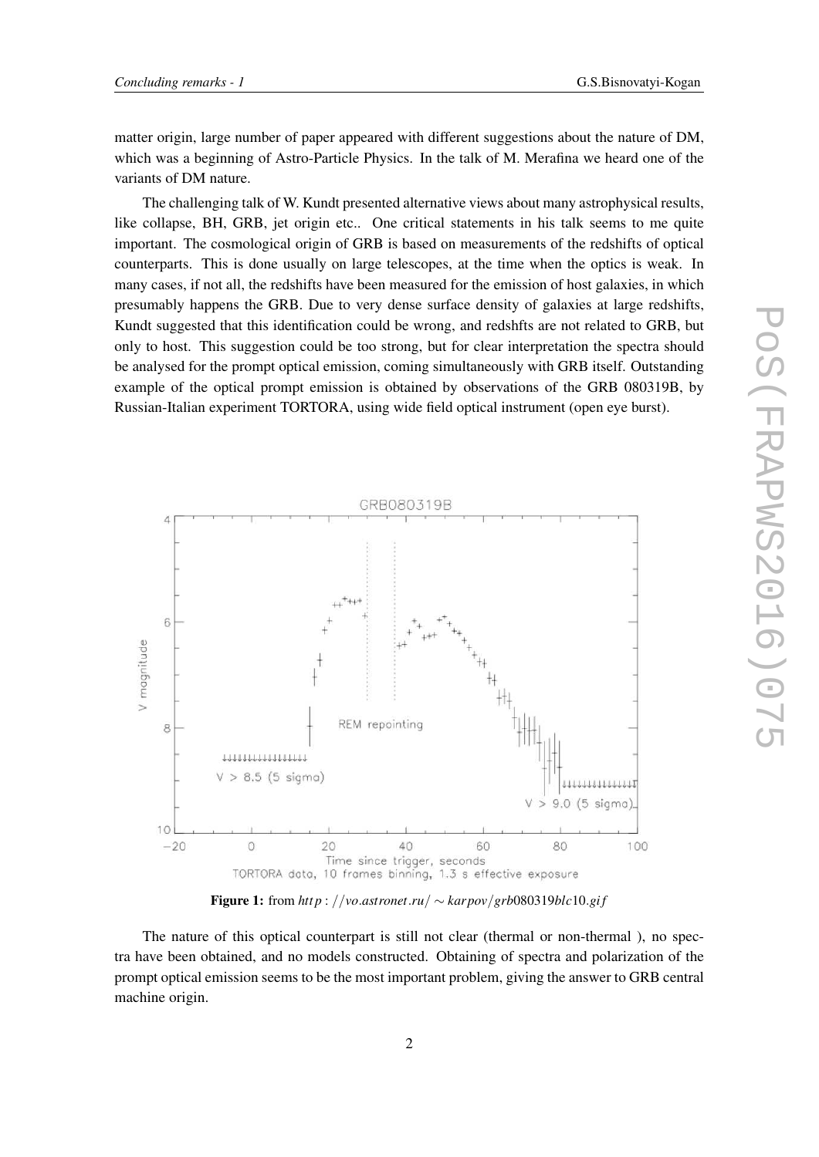matter origin, large number of paper appeared with different suggestions about the nature of DM, which was a beginning of Astro-Particle Physics. In the talk of M. Merafina we heard one of the variants of DM nature.

The challenging talk of W. Kundt presented alternative views about many astrophysical results, like collapse, BH, GRB, jet origin etc.. One critical statements in his talk seems to me quite important. The cosmological origin of GRB is based on measurements of the redshifts of optical counterparts. This is done usually on large telescopes, at the time when the optics is weak. In many cases, if not all, the redshifts have been measured for the emission of host galaxies, in which presumably happens the GRB. Due to very dense surface density of galaxies at large redshifts, Kundt suggested that this identification could be wrong, and redshfts are not related to GRB, but only to host. This suggestion could be too strong, but for clear interpretation the spectra should be analysed for the prompt optical emission, coming simultaneously with GRB itself. Outstanding example of the optical prompt emission is obtained by observations of the GRB 080319B, by Russian-Italian experiment TORTORA, using wide field optical instrument (open eye burst).



Figure 1: from  $http://vo.astronet.ru/~~karpov/grb080319blc10.$ *gif* 

The nature of this optical counterpart is still not clear (thermal or non-thermal ), no spectra have been obtained, and no models constructed. Obtaining of spectra and polarization of the prompt optical emission seems to be the most important problem, giving the answer to GRB central machine origin.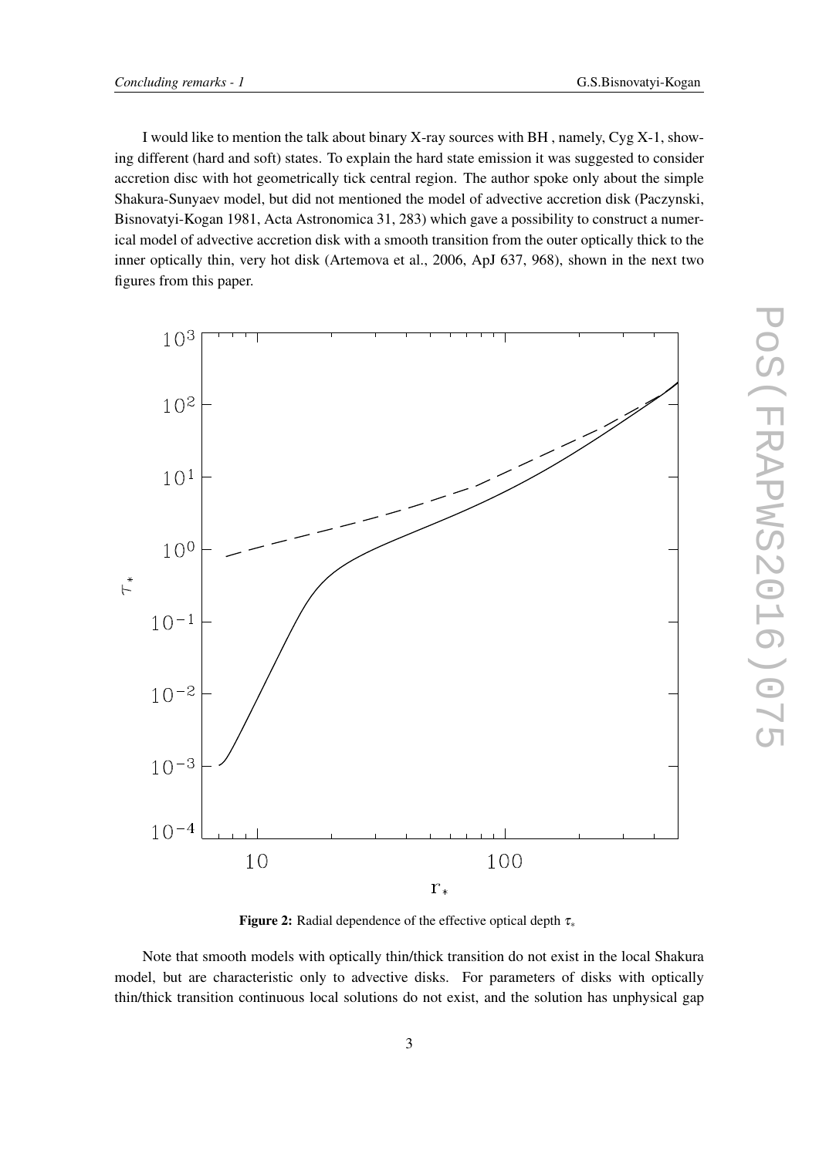I would like to mention the talk about binary X-ray sources with BH, namely,  $Cyg X-1$ , showing different (hard and soft) states. To explain the hard state emission it was suggested to consider accretion disc with hot geometrically tick central region. The author spoke only about the simple Shakura-Sunyaev model, but did not mentioned the model of advective accretion disk (Paczynski, Bisnovatyi-Kogan 1981, Acta Astronomica 31, 283) which gave a possibility to construct a numerical model of advective accretion disk with a smooth transition from the outer optically thick to the inner optically thin, very hot disk (Artemova et al., 2006, ApJ 637, 968), shown in the next two figures from this paper.



Figure 2: Radial dependence of the effective optical depth <sup>τ</sup>*<sup>∗</sup>*

Note that smooth models with optically thin/thick transition do not exist in the local Shakura model, but are characteristic only to advective disks. For parameters of disks with optically thin/thick transition continuous local solutions do not exist, and the solution has unphysical gap